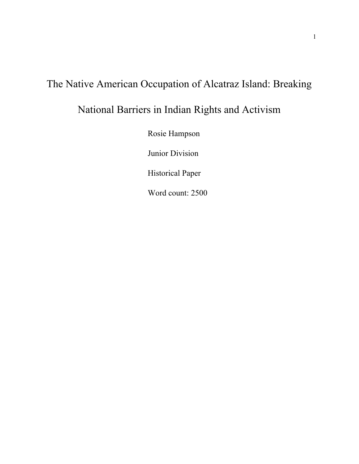# The Native American Occupation of Alcatraz Island: Breaking

# National Barriers in Indian Rights and Activism

Rosie Hampson

Junior Division

Historical Paper

Word count: 2500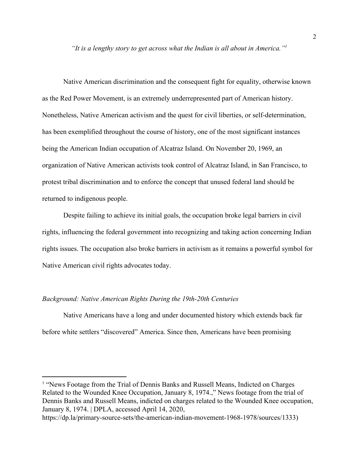*"It is a lengthy story to get across what the Indian is all about in America."<sup>1</sup>*

Native American discrimination and the consequent fight for equality, otherwise known as the Red Power Movement, is an extremely underrepresented part of American history. Nonetheless, Native American activism and the quest for civil liberties, or self-determination, has been exemplified throughout the course of history, one of the most significant instances being the American Indian occupation of Alcatraz Island. On November 20, 1969, an organization of Native American activists took control of Alcatraz Island, in San Francisco, to protest tribal discrimination and to enforce the concept that unused federal land should be returned to indigenous people.

Despite failing to achieve its initial goals, the occupation broke legal barriers in civil rights, influencing the federal government into recognizing and taking action concerning Indian rights issues. The occupation also broke barriers in activism as it remains a powerful symbol for Native American civil rights advocates today.

## *Background: Native American Rights During the 19th-20th Centuries*

Native Americans have a long and under documented history which extends back far before white settlers "discovered" America. Since then, Americans have been promising

<sup>&</sup>lt;sup>1</sup> "News Footage from the Trial of Dennis Banks and Russell Means, Indicted on Charges Related to the Wounded Knee Occupation, January 8, 1974.," News footage from the trial of Dennis Banks and Russell Means, indicted on charges related to the Wounded Knee occupation, January 8, 1974. | DPLA, accessed April 14, 2020,

https://dp.la/primary-source-sets/the-american-indian-movement-1968-1978/sources/1333)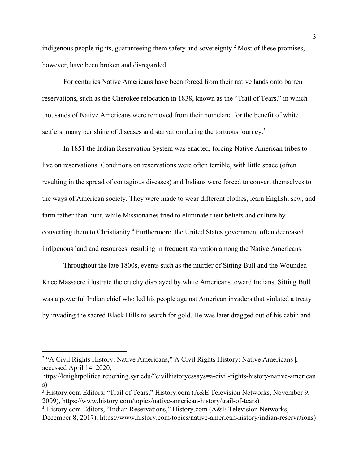indigenous people rights, guaranteeing them safety and sovereignty.<sup>2</sup> Most of these promises, however, have been broken and disregarded.

For centuries Native Americans have been forced from their native lands onto barren reservations, such as the Cherokee relocation in 1838, known as the "Trail of Tears," in which thousands of Native Americans were removed from their homeland for the benefit of white settlers, many perishing of diseases and starvation during the tortuous journey.<sup>3</sup>

In 1851 the Indian Reservation System was enacted, forcing Native American tribes to live on reservations. Conditions on reservations were often terrible, with little space (often resulting in the spread of contagious diseases) and Indians were forced to convert themselves to the ways of American society. They were made to wear different clothes, learn English, sew, and farm rather than hunt, while Missionaries tried to eliminate their beliefs and culture by converting them to Christianity.<sup>4</sup> Furthermore, the United States government often decreased indigenous land and resources, resulting in frequent starvation among the Native Americans.

Throughout the late 1800s, events such as the murder of Sitting Bull and the Wounded Knee Massacre illustrate the cruelty displayed by white Americans toward Indians. Sitting Bull was a powerful Indian chief who led his people against American invaders that violated a treaty by invading the sacred Black Hills to search for gold. He was later dragged out of his cabin and

<sup>&</sup>lt;sup>2</sup> "A Civil Rights History: Native Americans," A Civil Rights History: Native Americans |, accessed April 14, 2020,

https://knightpoliticalreporting.syr.edu/?civilhistoryessays=a-civil-rights-history-native-american s)

<sup>&</sup>lt;sup>3</sup> History.com Editors, "Trail of Tears," History.com (A&E Television Networks, November 9, 2009), https://www.history.com/topics/native-american-history/trail-of-tears)

<sup>&</sup>lt;sup>4</sup> History.com Editors, "Indian Reservations," History.com (A&E Television Networks,

December 8, 2017), https://www.history.com/topics/native-american-history/indian-reservations)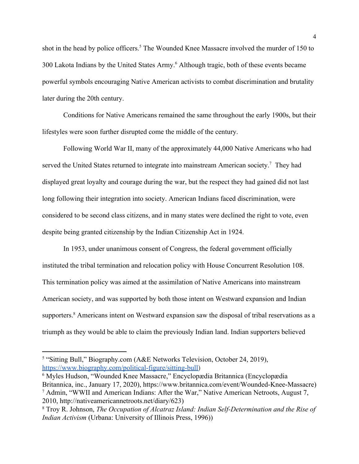shot in the head by police officers.<sup>5</sup> The Wounded Knee Massacre involved the murder of 150 to 300 Lakota Indians by the United States Army.<sup>6</sup> Although tragic, both of these events became powerful symbols encouraging Native American activists to combat discrimination and brutality later during the 20th century.

Conditions for Native Americans remained the same throughout the early 1900s, but their lifestyles were soon further disrupted come the middle of the century.

Following World War II, many of the approximately 44,000 Native Americans who had served the United States returned to integrate into mainstream American society.<sup>7</sup> They had displayed great loyalty and courage during the war, but the respect they had gained did not last long following their integration into society. American Indians faced discrimination, were considered to be second class citizens, and in many states were declined the right to vote, even despite being granted citizenship by the Indian Citizenship Act in 1924.

In 1953, under unanimous consent of Congress, the federal government officially instituted the tribal termination and relocation policy with House Concurrent Resolution 108. This termination policy was aimed at the assimilation of Native Americans into mainstream American society, and was supported by both those intent on Westward expansion and Indian supporters.<sup>8</sup> Americans intent on Westward expansion saw the disposal of tribal reservations as a triumph as they would be able to claim the previously Indian land. Indian supporters believed

<sup>&</sup>lt;sup>5</sup> "Sitting Bull," Biography.com (A&E Networks Television, October 24, 2019), [https://www.biography.com/political-figure/sitting-bull\)](https://www.biography.com/political-figure/sitting-bull)

<sup>6</sup> Myles Hudson, "Wounded Knee Massacre," Encyclopædia Britannica (Encyclopædia Britannica, inc., January 17, 2020), https://www.britannica.com/event/Wounded-Knee-Massacre) 7 Admin, "WWII and American Indians: After the War," Native American Netroots, August 7, 2010, http://nativeamericannetroots.net/diary/623)

<sup>8</sup> Troy R. Johnson, *The Occupation of Alcatraz Island: Indian Self-Determination and the Rise of Indian Activism* (Urbana: University of Illinois Press, 1996))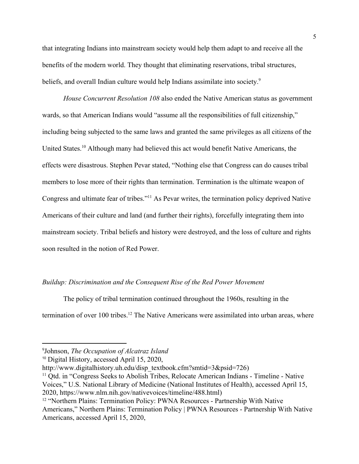that integrating Indians into mainstream society would help them adapt to and receive all the benefits of the modern world. They thought that eliminating reservations, tribal structures, beliefs, and overall Indian culture would help Indians assimilate into society.<sup>9</sup>

*House Concurrent Resolution 108* also ended the Native American status as government wards, so that American Indians would "assume all the responsibilities of full citizenship," including being subjected to the same laws and granted the same privileges as all citizens of the United States.<sup>10</sup> Although many had believed this act would benefit Native Americans, the effects were disastrous. Stephen Pevar stated, "Nothing else that Congress can do causes tribal members to lose more of their rights than termination. Termination is the ultimate weapon of Congress and ultimate fear of tribes."<sup>11</sup> As Pevar writes, the termination policy deprived Native Americans of their culture and land (and further their rights), forcefully integrating them into mainstream society. Tribal beliefs and history were destroyed, and the loss of culture and rights soon resulted in the notion of Red Power.

## *Buildup: Discrimination and the Consequent Rise of the Red Power Movement*

The policy of tribal termination continued throughout the 1960s, resulting in the termination of over 100 tribes.<sup>12</sup> The Native Americans were assimilated into urban areas, where

<sup>9</sup>Johnson, *The Occupation of Alcatraz Island*

<sup>10</sup> Digital History, accessed April 15, 2020,

http://www.digitalhistory.uh.edu/disp\_textbook.cfm?smtid=3&psid=726)

<sup>&</sup>lt;sup>11</sup> Qtd. in "Congress Seeks to Abolish Tribes, Relocate American Indians - Timeline - Native Voices," U.S. National Library of Medicine (National Institutes of Health), accessed April 15, 2020, https://www.nlm.nih.gov/nativevoices/timeline/488.html)

<sup>&</sup>lt;sup>12</sup> "Northern Plains: Termination Policy: PWNA Resources - Partnership With Native Americans," Northern Plains: Termination Policy | PWNA Resources - Partnership With Native Americans, accessed April 15, 2020,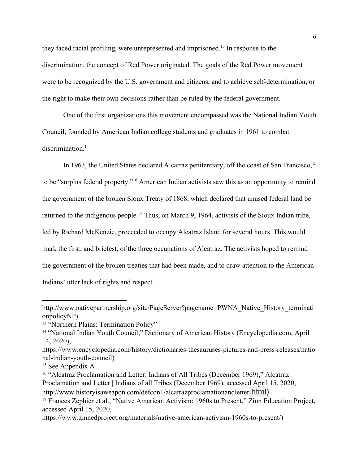they faced racial profiling, were unrepresented and imprisoned.<sup>13</sup> In response to the discrimination, the concept of Red Power originated. The goals of the Red Power movement were to be recognized by the U.S. government and citizens, and to achieve self-determination, or the right to make their own decisions rather than be ruled by the federal government.

One of the first organizations this movement encompassed was the National Indian Youth Council, founded by American Indian college students and graduates in 1961 to combat discrimination.<sup>14</sup>

In 1963, the United States declared Alcatraz penitentiary, off the coast of San Francisco,  $15$ to be "surplus federal property."<sup>16</sup> American Indian activists saw this as an opportunity to remind the government of the broken Sioux Treaty of 1868, which declared that unused federal land be returned to the indigenous people.<sup>17</sup> Thus, on March 9, 1964, activists of the Sioux Indian tribe, led by Richard McKenzie, proceeded to occupy Alcatraz Island for several hours. This would mark the first, and briefest, of the three occupations of Alcatraz. The activists hoped to remind the government of the broken treaties that had been made, and to draw attention to the American Indians' utter lack of rights and respect.

http://www.nativepartnership.org/site/PageServer?pagename=PWNA\_Native\_History\_terminati onpolicyNP)

<sup>&</sup>lt;sup>13</sup> "Northern Plains: Termination Policy"

<sup>14</sup> "National Indian Youth Council," Dictionary of American History (Encyclopedia.com, April 14, 2020),

https://www.encyclopedia.com/history/dictionaries-thesauruses-pictures-and-press-releases/natio nal-indian-youth-council)

<sup>&</sup>lt;sup>15</sup> See Appendix A

<sup>&</sup>lt;sup>16</sup> "Alcatraz Proclamation and Letter: Indians of All Tribes (December 1969)," Alcatraz Proclamation and Letter | Indians of all Tribes (December 1969), accessed April 15, 2020, http://www.historyisaweapon.com/defcon1/alcatrazproclamationandletter.html)

<sup>&</sup>lt;sup>17</sup> Frances Zephier et al., "Native American Activism: 1960s to Present," Zinn Education Project, accessed April 15, 2020,

https://www.zinnedproject.org/materials/native-american-activism-1960s-to-present/)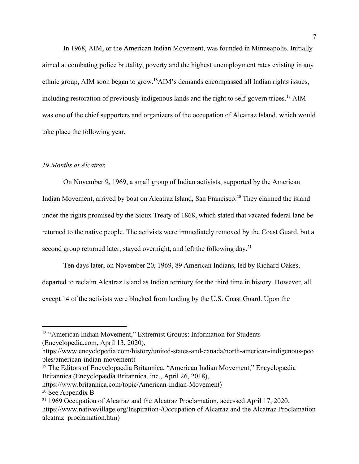In 1968, AIM, or the American Indian Movement, was founded in Minneapolis. Initially aimed at combating police brutality, poverty and the highest unemployment rates existing in any ethnic group, AIM soon began to grow.<sup>18</sup>AIM's demands encompassed all Indian rights issues, including restoration of previously indigenous lands and the right to self-govern tribes.<sup>19</sup> AIM was one of the chief supporters and organizers of the occupation of Alcatraz Island, which would take place the following year.

## *19 Months at Alcatraz*

On November 9, 1969, a small group of Indian activists, supported by the American Indian Movement, arrived by boat on Alcatraz Island, San Francisco.<sup>20</sup> They claimed the island under the rights promised by the Sioux Treaty of 1868, which stated that vacated federal land be returned to the native people. The activists were immediately removed by the Coast Guard, but a second group returned later, stayed overnight, and left the following day.<sup>21</sup>

Ten days later, on November 20, 1969, 89 American Indians, led by Richard Oakes, departed to reclaim Alcatraz Island as Indian territory for the third time in history. However, all except 14 of the activists were blocked from landing by the U.S. Coast Guard. Upon the

- <sup>19</sup> The Editors of Encyclopaedia Britannica, "American Indian Movement," Encyclopædia Britannica (Encyclopædia Britannica, inc., April 26, 2018),
- https://www.britannica.com/topic/American-Indian-Movement)

<sup>&</sup>lt;sup>18</sup> "American Indian Movement," Extremist Groups: Information for Students (Encyclopedia.com, April 13, 2020),

https://www.encyclopedia.com/history/united-states-and-canada/north-american-indigenous-peo ples/american-indian-movement)

<sup>20</sup> See Appendix B

<sup>&</sup>lt;sup>21</sup> 1969 Occupation of Alcatraz and the Alcatraz Proclamation, accessed April 17, 2020, https://www.nativevillage.org/Inspiration-/Occupation of Alcatraz and the Alcatraz Proclamation alcatraz\_proclamation.htm)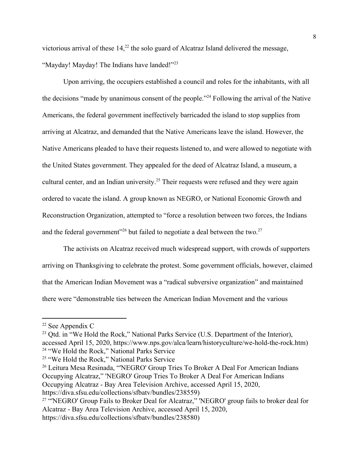victorious arrival of these  $14<sup>22</sup>$ , the solo guard of Alcatraz Island delivered the message, "Mayday! Mayday! The Indians have landed!"<sup>23</sup>

Upon arriving, the occupiers established a council and roles for the inhabitants, with all the decisions "made by unanimous consent of the people."<sup>24</sup> Following the arrival of the Native Americans, the federal government ineffectively barricaded the island to stop supplies from arriving at Alcatraz, and demanded that the Native Americans leave the island. However, the Native Americans pleaded to have their requests listened to, and were allowed to negotiate with the United States government. They appealed for the deed of Alcatraz Island, a museum, a cultural center, and an Indian university.<sup>25</sup> Their requests were refused and they were again ordered to vacate the island. A group known as NEGRO, or National Economic Growth and Reconstruction Organization, attempted to "force a resolution between two forces, the Indians and the federal government"<sup>26</sup> but failed to negotiate a deal between the two.<sup>27</sup>

The activists on Alcatraz received much widespread support, with crowds of supporters arriving on Thanksgiving to celebrate the protest. Some government officials, however, claimed that the American Indian Movement was a "radical subversive organization" and maintained there were "demonstrable ties between the American Indian Movement and the various

<sup>22</sup> See Appendix C

<sup>&</sup>lt;sup>23</sup> Qtd. in "We Hold the Rock," National Parks Service (U.S. Department of the Interior), accessed April 15, 2020, https://www.nps.gov/alca/learn/historyculture/we-hold-the-rock.htm) 24 "We Hold the Rock," National Parks Service

<sup>25</sup> "We Hold the Rock," National Parks Service

<sup>&</sup>lt;sup>26</sup> Leitura Mesa Resinada, "NEGRO' Group Tries To Broker A Deal For American Indians Occupying Alcatraz," 'NEGRO' Group Tries To Broker A Deal For American Indians Occupying Alcatraz - Bay Area Television Archive, accessed April 15, 2020, https://diva.sfsu.edu/collections/sfbatv/bundles/238559)

<sup>&</sup>lt;sup>27</sup> "NEGRO' Group Fails to Broker Deal for Alcatraz," 'NEGRO' group fails to broker deal for Alcatraz - Bay Area Television Archive, accessed April 15, 2020, https://diva.sfsu.edu/collections/sfbatv/bundles/238580)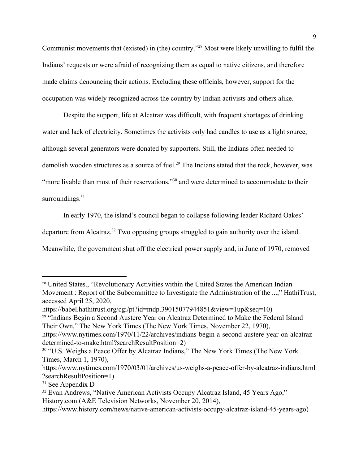Communist movements that (existed) in (the) country."<sup>28</sup> Most were likely unwilling to fulfil the Indians' requests or were afraid of recognizing them as equal to native citizens, and therefore made claims denouncing their actions. Excluding these officials, however, support for the occupation was widely recognized across the country by Indian activists and others alike.

Despite the support, life at Alcatraz was difficult, with frequent shortages of drinking water and lack of electricity. Sometimes the activists only had candles to use as a light source, although several generators were donated by supporters. Still, the Indians often needed to demolish wooden structures as a source of fuel.<sup>29</sup> The Indians stated that the rock, however, was "more livable than most of their reservations,"<sup>30</sup> and were determined to accommodate to their surroundings. $31$ 

In early 1970, the island's council began to collapse following leader Richard Oakes' departure from Alcatraz.<sup>32</sup> Two opposing groups struggled to gain authority over the island. Meanwhile, the government shut off the electrical power supply and, in June of 1970, removed

<sup>&</sup>lt;sup>28</sup> United States., "Revolutionary Activities within the United States the American Indian Movement : Report of the Subcommittee to Investigate the Administration of the ...," HathiTrust, accessed April 25, 2020,

https://babel.hathitrust.org/cgi/pt?id=mdp.39015077944851&view=1up&seq=10)

<sup>29</sup> "Indians Begin a Second Austere Year on Alcatraz Determined to Make the Federal Island Their Own," The New York Times (The New York Times, November 22, 1970),

https://www.nytimes.com/1970/11/22/archives/indians-begin-a-second-austere-year-on-alcatrazdetermined-to-make.html?searchResultPosition=2)

<sup>&</sup>lt;sup>30</sup> "U.S. Weighs a Peace Offer by Alcatraz Indians," The New York Times (The New York Times, March 1, 1970),

https://www.nytimes.com/1970/03/01/archives/us-weighs-a-peace-offer-by-alcatraz-indians.html ?searchResultPosition=1)

<sup>31</sup> See Appendix D

<sup>32</sup> Evan Andrews, "Native American Activists Occupy Alcatraz Island, 45 Years Ago," History.com (A&E Television Networks, November 20, 2014),

https://www.history.com/news/native-american-activists-occupy-alcatraz-island-45-years-ago)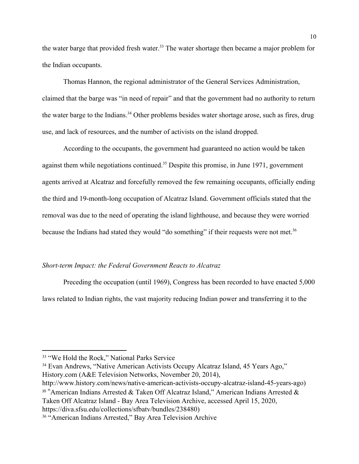the water barge that provided fresh water.<sup>33</sup> The water shortage then became a major problem for the Indian occupants.

Thomas Hannon, the regional administrator of the General Services Administration, claimed that the barge was "in need of repair" and that the government had no authority to return the water barge to the Indians.<sup>34</sup> Other problems besides water shortage arose, such as fires, drug use, and lack of resources, and the number of activists on the island dropped.

According to the occupants, the government had guaranteed no action would be taken against them while negotiations continued.<sup>35</sup> Despite this promise, in June 1971, government agents arrived at Alcatraz and forcefully removed the few remaining occupants, officially ending the third and 19-month-long occupation of Alcatraz Island. Government officials stated that the removal was due to the need of operating the island lighthouse, and because they were worried because the Indians had stated they would "do something" if their requests were not met.<sup>36</sup>

#### *Short-term Impact: the Federal Government Reacts to Alcatraz*

Preceding the occupation (until 1969), Congress has been recorded to have enacted 5,000 laws related to Indian rights, the vast majority reducing Indian power and transferring it to the

http://www.history.com/news/native-american-activists-occupy-alcatraz-island-45-years-ago) <sup>35</sup> "American Indians Arrested & Taken Off Alcatraz Island," American Indians Arrested & Taken Off Alcatraz Island - Bay Area Television Archive, accessed April 15, 2020,

https://diva.sfsu.edu/collections/sfbatv/bundles/238480)

<sup>33</sup> "We Hold the Rock," National Parks Service

<sup>34</sup> Evan Andrews, "Native American Activists Occupy Alcatraz Island, 45 Years Ago," History.com (A&E Television Networks, November 20, 2014),

<sup>36</sup> "American Indians Arrested," Bay Area Television Archive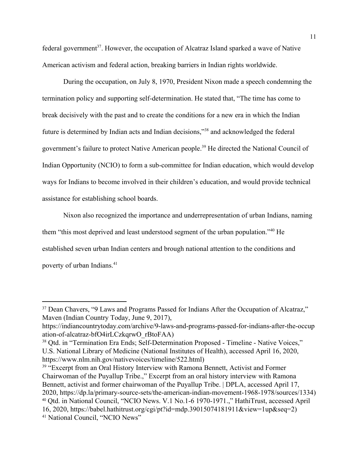federal government<sup>37</sup>. However, the occupation of Alcatraz Island sparked a wave of Native American activism and federal action, breaking barriers in Indian rights worldwide.

During the occupation, on July 8, 1970, President Nixon made a speech condemning the termination policy and supporting self-determination. He stated that, "The time has come to break decisively with the past and to create the conditions for a new era in which the Indian future is determined by Indian acts and Indian decisions,"<sup>38</sup> and acknowledged the federal government's failure to protect Native American people.<sup>39</sup> He directed the National Council of Indian Opportunity (NCIO) to form a sub-committee for Indian education, which would develop ways for Indians to become involved in their children's education, and would provide technical assistance for establishing school boards.

Nixon also recognized the importance and underrepresentation of urban Indians, naming them "this most deprived and least understood segment of the urban population."<sup>40</sup> He established seven urban Indian centers and brough national attention to the conditions and poverty of urban Indians.<sup>41</sup>

<sup>37</sup> Dean Chavers, "9 Laws and Programs Passed for Indians After the Occupation of Alcatraz," Maven (Indian Country Today, June 9, 2017),

https://indiancountrytoday.com/archive/9-laws-and-programs-passed-for-indians-after-the-occup ation-of-alcatraz-bfO4irLCzkqrwO\_rBtoFAA)

<sup>38</sup> Qtd. in "Termination Era Ends; Self-Determination Proposed - Timeline - Native Voices," U.S. National Library of Medicine (National Institutes of Health), accessed April 16, 2020, https://www.nlm.nih.gov/nativevoices/timeline/522.html)

<sup>&</sup>lt;sup>39</sup> "Excerpt from an Oral History Interview with Ramona Bennett, Activist and Former Chairwoman of the Puyallup Tribe.," Excerpt from an oral history interview with Ramona Bennett, activist and former chairwoman of the Puyallup Tribe. | DPLA, accessed April 17, 2020, https://dp.la/primary-source-sets/the-american-indian-movement-1968-1978/sources/1334) <sup>40</sup> Qtd. in National Council, "NCIO News. V.1 No.1-6 1970-1971.," HathiTrust, accessed April 16, 2020, https://babel.hathitrust.org/cgi/pt?id=mdp.39015074181911&view=1up&seq=2) 41 National Council, "NCIO News"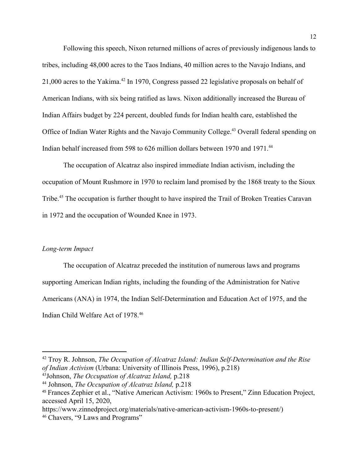Following this speech, Nixon returned millions of acres of previously indigenous lands to tribes, including 48,000 acres to the Taos Indians, 40 million acres to the Navajo Indians, and 21,000 acres to the Yakima.<sup>42</sup> In 1970, Congress passed 22 legislative proposals on behalf of American Indians, with six being ratified as laws. Nixon additionally increased the Bureau of Indian Affairs budget by 224 percent, doubled funds for Indian health care, established the Office of Indian Water Rights and the Navajo Community College.<sup>43</sup> Overall federal spending on Indian behalf increased from 598 to 626 million dollars between 1970 and 1971.<sup>44</sup>

The occupation of Alcatraz also inspired immediate Indian activism, including the occupation of Mount Rushmore in 1970 to reclaim land promised by the 1868 treaty to the Sioux Tribe.<sup>45</sup> The occupation is further thought to have inspired the Trail of Broken Treaties Caravan in 1972 and the occupation of Wounded Knee in 1973.

### *Long-term Impact*

The occupation of Alcatraz preceded the institution of numerous laws and programs supporting American Indian rights, including the founding of the Administration for Native Americans (ANA) in 1974, the Indian Self-Determination and Education Act of 1975, and the Indian Child Welfare Act of 1978.<sup>46</sup>

<sup>42</sup> Troy R. Johnson, *The Occupation of Alcatraz Island: Indian Self-Determination and the Rise of Indian Activism* (Urbana: University of Illinois Press, 1996), p.218)

<sup>43</sup>Johnson, *The Occupation of Alcatraz Island,* p.218

<sup>44</sup> Johnson, *The Occupation of Alcatraz Island,* p.218

<sup>45</sup> Frances Zephier et al., "Native American Activism: 1960s to Present," Zinn Education Project, accessed April 15, 2020,

https://www.zinnedproject.org/materials/native-american-activism-1960s-to-present/)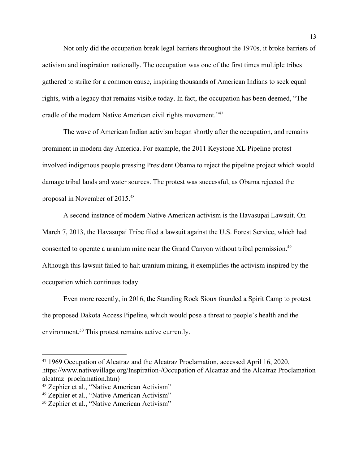Not only did the occupation break legal barriers throughout the 1970s, it broke barriers of activism and inspiration nationally. The occupation was one of the first times multiple tribes gathered to strike for a common cause, inspiring thousands of American Indians to seek equal rights, with a legacy that remains visible today. In fact, the occupation has been deemed, "The cradle of the modern Native American civil rights movement."<sup>47</sup>

The wave of American Indian activism began shortly after the occupation, and remains prominent in modern day America. For example, the 2011 Keystone XL Pipeline protest involved indigenous people pressing President Obama to reject the pipeline project which would damage tribal lands and water sources. The protest was successful, as Obama rejected the proposal in November of 2015.<sup>48</sup>

A second instance of modern Native American activism is the Havasupai Lawsuit. On March 7, 2013, the Havasupai Tribe filed a lawsuit against the U.S. Forest Service, which had consented to operate a uranium mine near the Grand Canyon without tribal permission.<sup>49</sup> Although this lawsuit failed to halt uranium mining, it exemplifies the activism inspired by the occupation which continues today.

Even more recently, in 2016, the Standing Rock Sioux founded a Spirit Camp to protest the proposed Dakota Access Pipeline, which would pose a threat to people's health and the environment. $50$  This protest remains active currently.

<sup>&</sup>lt;sup>47</sup> 1969 Occupation of Alcatraz and the Alcatraz Proclamation, accessed April 16, 2020, https://www.nativevillage.org/Inspiration-/Occupation of Alcatraz and the Alcatraz Proclamation alcatraz\_proclamation.htm)

<sup>48</sup> Zephier et al., "Native American Activism"

<sup>49</sup> Zephier et al., "Native American Activism"

<sup>50</sup> Zephier et al., "Native American Activism"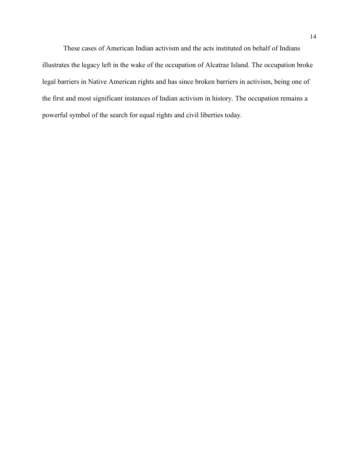These cases of American Indian activism and the acts instituted on behalf of Indians illustrates the legacy left in the wake of the occupation of Alcatraz Island. The occupation broke legal barriers in Native American rights and has since broken barriers in activism, being one of the first and most significant instances of Indian activism in history. The occupation remains a powerful symbol of the search for equal rights and civil liberties today.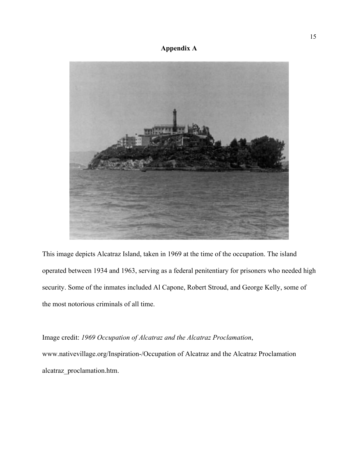# **Appendix A**



This image depicts Alcatraz Island, taken in 1969 at the time of the occupation. The island operated between 1934 and 1963, serving as a federal penitentiary for prisoners who needed high security. Some of the inmates included Al Capone, Robert Stroud, and George Kelly, some of the most notorious criminals of all time.

Image credit: *1969 Occupation of Alcatraz and the Alcatraz Proclamation*, www.nativevillage.org/Inspiration-/Occupation of Alcatraz and the Alcatraz Proclamation alcatraz\_proclamation.htm.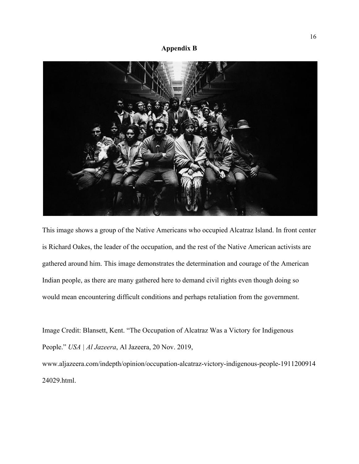## **Appendix B**



This image shows a group of the Native Americans who occupied Alcatraz Island. In front center is Richard Oakes, the leader of the occupation, and the rest of the Native American activists are gathered around him. This image demonstrates the determination and courage of the American Indian people, as there are many gathered here to demand civil rights even though doing so would mean encountering difficult conditions and perhaps retaliation from the government.

Image Credit: Blansett, Kent. "The Occupation of Alcatraz Was a Victory for Indigenous People." *USA | Al Jazeera*, Al Jazeera, 20 Nov. 2019, www.aljazeera.com/indepth/opinion/occupation-alcatraz-victory-indigenous-people-1911200914 24029.html.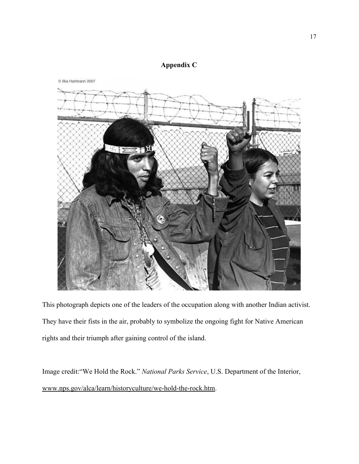# **Appendix C**



This photograph depicts one of the leaders of the occupation along with another Indian activist. They have their fists in the air, probably to symbolize the ongoing fight for Native American rights and their triumph after gaining control of the island.

Image credit:"We Hold the Rock." *National Parks Service*, U.S. Department of the Interior, [www.nps.gov/alca/learn/historyculture/we-hold-the-rock.htm.](http://www.nps.gov/alca/learn/historyculture/we-hold-the-rock.htm)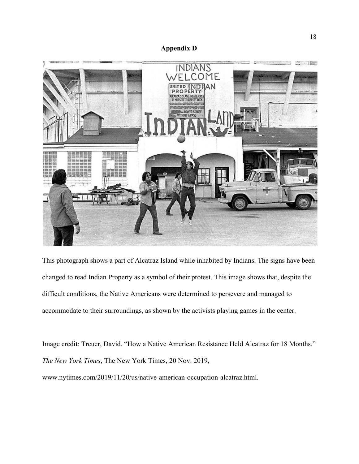

This photograph shows a part of Alcatraz Island while inhabited by Indians. The signs have been changed to read Indian Property as a symbol of their protest. This image shows that, despite the difficult conditions, the Native Americans were determined to persevere and managed to accommodate to their surroundings, as shown by the activists playing games in the center.

Image credit: Treuer, David. "How a Native American Resistance Held Alcatraz for 18 Months." *The New York Times*, The New York Times, 20 Nov. 2019, www.nytimes.com/2019/11/20/us/native-american-occupation-alcatraz.html.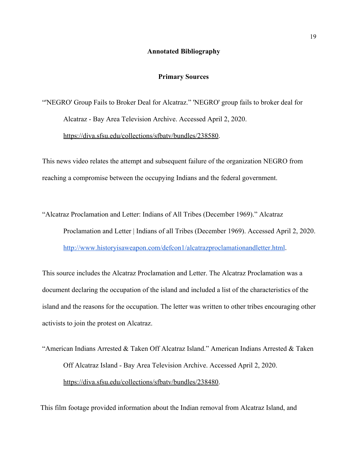#### **Annotated Bibliography**

#### **Primary Sources**

"'NEGRO' Group Fails to Broker Deal for Alcatraz." 'NEGRO' group fails to broker deal for Alcatraz - Bay Area Television Archive. Accessed April 2, 2020. [https://diva.sfsu.edu/collections/sfbatv/bundles/238580.](https://diva.sfsu.edu/collections/sfbatv/bundles/238580)

This news video relates the attempt and subsequent failure of the organization NEGRO from reaching a compromise between the occupying Indians and the federal government.

"Alcatraz Proclamation and Letter: Indians of All Tribes (December 1969)." Alcatraz Proclamation and Letter | Indians of all Tribes (December 1969). Accessed April 2, 2020. <http://www.historyisaweapon.com/defcon1/alcatrazproclamationandletter.html>.

This source includes the Alcatraz Proclamation and Letter. The Alcatraz Proclamation was a document declaring the occupation of the island and included a list of the characteristics of the island and the reasons for the occupation. The letter was written to other tribes encouraging other activists to join the protest on Alcatraz.

"American Indians Arrested & Taken Off Alcatraz Island." American Indians Arrested & Taken Off Alcatraz Island - Bay Area Television Archive. Accessed April 2, 2020. [https://diva.sfsu.edu/collections/sfbatv/bundles/238480.](https://diva.sfsu.edu/collections/sfbatv/bundles/238480)

This film footage provided information about the Indian removal from Alcatraz Island, and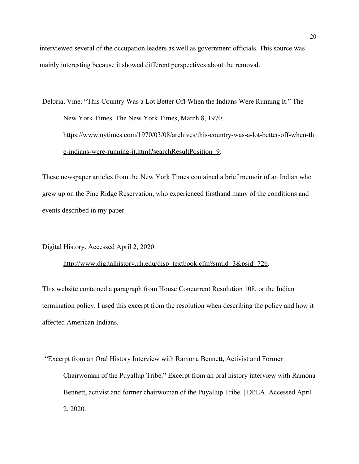interviewed several of the occupation leaders as well as government officials. This source was mainly interesting because it showed different perspectives about the removal.

Deloria, Vine. "This Country Was a Lot Better Off When the Indians Were Running It." The New York Times. The New York Times, March 8, 1970. [https://www.nytimes.com/1970/03/08/archives/this-country-was-a-lot-better-off-when-th](https://www.nytimes.com/1970/03/08/archives/this-country-was-a-lot-better-off-when-the-indians-were-running-it.html?searchResultPosition=9) [e-indians-were-running-it.html?searchResultPosition=9](https://www.nytimes.com/1970/03/08/archives/this-country-was-a-lot-better-off-when-the-indians-were-running-it.html?searchResultPosition=9).

These newspaper articles from the New York Times contained a brief memoir of an Indian who grew up on the Pine Ridge Reservation, who experienced firsthand many of the conditions and events described in my paper.

Digital History. Accessed April 2, 2020.

### [http://www.digitalhistory.uh.edu/disp\\_textbook.cfm?smtid=3&psid=726.](http://www.digitalhistory.uh.edu/disp_textbook.cfm?smtid=3&psid=726)

This website contained a paragraph from House Concurrent Resolution 108, or the Indian termination policy. I used this excerpt from the resolution when describing the policy and how it affected American Indians.

"Excerpt from an Oral History Interview with Ramona Bennett, Activist and Former Chairwoman of the Puyallup Tribe." Excerpt from an oral history interview with Ramona Bennett, activist and former chairwoman of the Puyallup Tribe. | DPLA. Accessed April 2, 2020.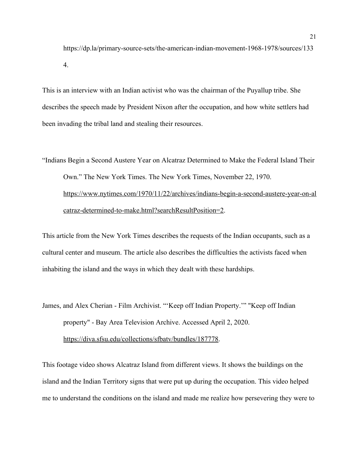https://dp.la/primary-source-sets/the-american-indian-movement-1968-1978/sources/133 4.

This is an interview with an Indian activist who was the chairman of the Puyallup tribe. She describes the speech made by President Nixon after the occupation, and how white settlers had been invading the tribal land and stealing their resources.

"Indians Begin a Second Austere Year on Alcatraz Determined to Make the Federal Island Their Own." The New York Times. The New York Times, November 22, 1970. [https://www.nytimes.com/1970/11/22/archives/indians-begin-a-second-austere-year-on-al](https://www.nytimes.com/1970/11/22/archives/indians-begin-a-second-austere-year-on-alcatraz-determined-to-make.html?searchResultPosition=2) [catraz-determined-to-make.html?searchResultPosition=2.](https://www.nytimes.com/1970/11/22/archives/indians-begin-a-second-austere-year-on-alcatraz-determined-to-make.html?searchResultPosition=2)

This article from the New York Times describes the requests of the Indian occupants, such as a cultural center and museum. The article also describes the difficulties the activists faced when inhabiting the island and the ways in which they dealt with these hardships.

James, and Alex Cherian - Film Archivist. "'Keep off Indian Property.'" "Keep off Indian property" - Bay Area Television Archive. Accessed April 2, 2020. [https://diva.sfsu.edu/collections/sfbatv/bundles/187778.](https://diva.sfsu.edu/collections/sfbatv/bundles/187778)

This footage video shows Alcatraz Island from different views. It shows the buildings on the island and the Indian Territory signs that were put up during the occupation. This video helped me to understand the conditions on the island and made me realize how persevering they were to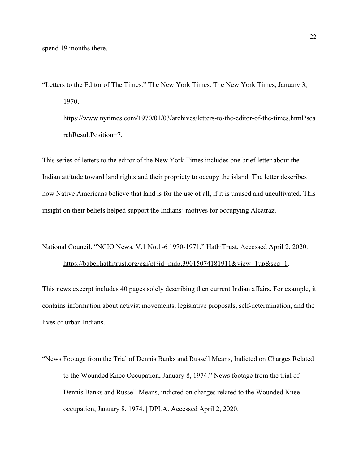spend 19 months there.

"Letters to the Editor of The Times." The New York Times. The New York Times, January 3, 1970. [https://www.nytimes.com/1970/01/03/archives/letters-to-the-editor-of-the-times.html?sea](https://www.nytimes.com/1970/01/03/archives/letters-to-the-editor-of-the-times.html?searchResultPosition=7)

[rchResultPosition=7](https://www.nytimes.com/1970/01/03/archives/letters-to-the-editor-of-the-times.html?searchResultPosition=7).

This series of letters to the editor of the New York Times includes one brief letter about the Indian attitude toward land rights and their propriety to occupy the island. The letter describes how Native Americans believe that land is for the use of all, if it is unused and uncultivated. This insight on their beliefs helped support the Indians' motives for occupying Alcatraz.

National Council. "NCIO News. V.1 No.1-6 1970-1971." HathiTrust. Accessed April 2, 2020.

#### <https://babel.hathitrust.org/cgi/pt?id=mdp.39015074181911&view=1up&seq=1>.

This news excerpt includes 40 pages solely describing then current Indian affairs. For example, it contains information about activist movements, legislative proposals, self-determination, and the lives of urban Indians.

"News Footage from the Trial of Dennis Banks and Russell Means, Indicted on Charges Related to the Wounded Knee Occupation, January 8, 1974." News footage from the trial of Dennis Banks and Russell Means, indicted on charges related to the Wounded Knee occupation, January 8, 1974. | DPLA. Accessed April 2, 2020.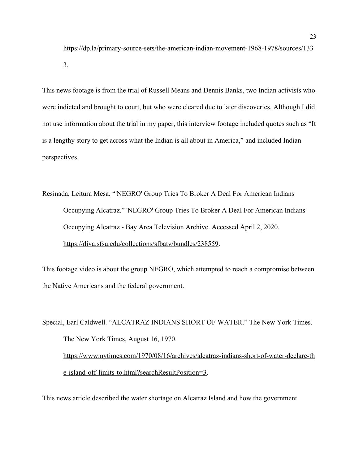[https://dp.la/primary-source-sets/the-american-indian-movement-1968-1978/sources/133](https://dp.la/primary-source-sets/the-american-indian-movement-1968-1978/sources/1333) [3](https://dp.la/primary-source-sets/the-american-indian-movement-1968-1978/sources/1333).

This news footage is from the trial of Russell Means and Dennis Banks, two Indian activists who were indicted and brought to court, but who were cleared due to later discoveries. Although I did not use information about the trial in my paper, this interview footage included quotes such as "It is a lengthy story to get across what the Indian is all about in America," and included Indian perspectives.

Resinada, Leitura Mesa. "'NEGRO' Group Tries To Broker A Deal For American Indians Occupying Alcatraz." 'NEGRO' Group Tries To Broker A Deal For American Indians Occupying Alcatraz - Bay Area Television Archive. Accessed April 2, 2020. [https://diva.sfsu.edu/collections/sfbatv/bundles/238559.](https://diva.sfsu.edu/collections/sfbatv/bundles/238559)

This footage video is about the group NEGRO, which attempted to reach a compromise between the Native Americans and the federal government.

Special, Earl Caldwell. "ALCATRAZ INDIANS SHORT OF WATER." The New York Times. The New York Times, August 16, 1970. [https://www.nytimes.com/1970/08/16/archives/alcatraz-indians-short-of-water-declare-th](https://www.nytimes.com/1970/08/16/archives/alcatraz-indians-short-of-water-declare-the-island-off-limits-to.html?searchResultPosition=3) [e-island-off-limits-to.html?searchResultPosition=3](https://www.nytimes.com/1970/08/16/archives/alcatraz-indians-short-of-water-declare-the-island-off-limits-to.html?searchResultPosition=3).

This news article described the water shortage on Alcatraz Island and how the government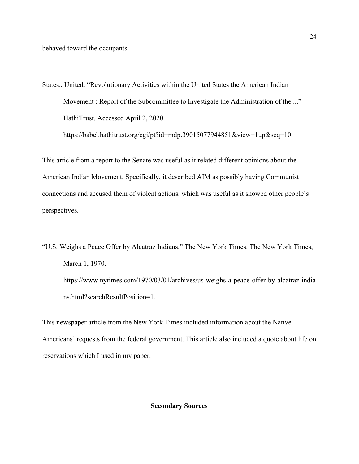behaved toward the occupants.

States., United. "Revolutionary Activities within the United States the American Indian Movement : Report of the Subcommittee to Investigate the Administration of the ..." HathiTrust. Accessed April 2, 2020.

<https://babel.hathitrust.org/cgi/pt?id=mdp.39015077944851&view=1up&seq=10>.

This article from a report to the Senate was useful as it related different opinions about the American Indian Movement. Specifically, it described AIM as possibly having Communist connections and accused them of violent actions, which was useful as it showed other people's perspectives.

"U.S. Weighs a Peace Offer by Alcatraz Indians." The New York Times. The New York Times, March 1, 1970. [https://www.nytimes.com/1970/03/01/archives/us-weighs-a-peace-offer-by-alcatraz-india](https://www.nytimes.com/1970/03/01/archives/us-weighs-a-peace-offer-by-alcatraz-indians.html?searchResultPosition=1) [ns.html?searchResultPosition=1](https://www.nytimes.com/1970/03/01/archives/us-weighs-a-peace-offer-by-alcatraz-indians.html?searchResultPosition=1).

This newspaper article from the New York Times included information about the Native Americans' requests from the federal government. This article also included a quote about life on reservations which I used in my paper.

## **Secondary Sources**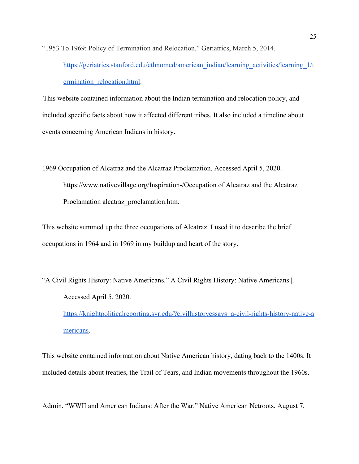"1953 To 1969: Policy of Termination and Relocation." Geriatrics, March 5, 2014.

[https://geriatrics.stanford.edu/ethnomed/american\\_indian/learning\\_activities/learning\\_1/t](https://geriatrics.stanford.edu/ethnomed/american_indian/learning_activities/learning_1/termination_relocation.html) ermination relocation.html.

This website contained information about the Indian termination and relocation policy, and included specific facts about how it affected different tribes. It also included a timeline about events concerning American Indians in history.

1969 Occupation of Alcatraz and the Alcatraz Proclamation. Accessed April 5, 2020. https://www.nativevillage.org/Inspiration-/Occupation of Alcatraz and the Alcatraz Proclamation alcatraz\_proclamation.htm.

This website summed up the three occupations of Alcatraz. I used it to describe the brief occupations in 1964 and in 1969 in my buildup and heart of the story.

"A Civil Rights History: Native Americans." A Civil Rights History: Native Americans |. Accessed April 5, 2020. [https://knightpoliticalreporting.syr.edu/?civilhistoryessays=a-civil-rights-history-native-a](https://knightpoliticalreporting.syr.edu/?civilhistoryessays=a-civil-rights-history-native-americans) [mericans.](https://knightpoliticalreporting.syr.edu/?civilhistoryessays=a-civil-rights-history-native-americans)

This website contained information about Native American history, dating back to the 1400s. It included details about treaties, the Trail of Tears, and Indian movements throughout the 1960s.

Admin. "WWII and American Indians: After the War." Native American Netroots, August 7,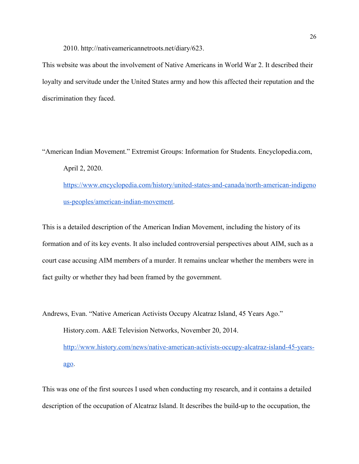2010. http://nativeamericannetroots.net/diary/623.

This website was about the involvement of Native Americans in World War 2. It described their loyalty and servitude under the United States army and how this affected their reputation and the discrimination they faced.

"American Indian Movement." Extremist Groups: Information for Students. Encyclopedia.com, April 2, 2020. [https://www.encyclopedia.com/history/united-states-and-canada/north-american-indigeno](https://www.encyclopedia.com/history/united-states-and-canada/north-american-indigenous-peoples/american-indian-movement) [us-peoples/american-indian-movement.](https://www.encyclopedia.com/history/united-states-and-canada/north-american-indigenous-peoples/american-indian-movement)

This is a detailed description of the American Indian Movement, including the history of its formation and of its key events. It also included controversial perspectives about AIM, such as a court case accusing AIM members of a murder. It remains unclear whether the members were in fact guilty or whether they had been framed by the government.

Andrews, Evan. "Native American Activists Occupy Alcatraz Island, 45 Years Ago." History.com. A&E Television Networks, November 20, 2014. [http://www.history.com/news/native-american-activists-occupy-alcatraz-island-45-years](http://www.history.com/news/native-american-activists-occupy-alcatraz-island-45-years-ago)[ago](http://www.history.com/news/native-american-activists-occupy-alcatraz-island-45-years-ago).

This was one of the first sources I used when conducting my research, and it contains a detailed description of the occupation of Alcatraz Island. It describes the build-up to the occupation, the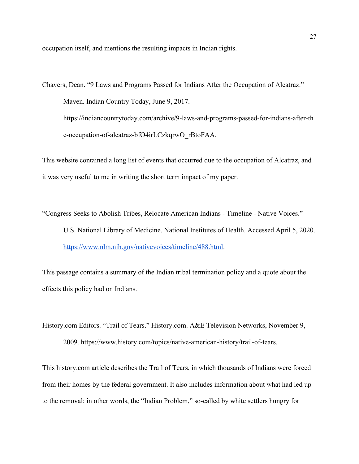occupation itself, and mentions the resulting impacts in Indian rights.

Chavers, Dean. "9 Laws and Programs Passed for Indians After the Occupation of Alcatraz." Maven. Indian Country Today, June 9, 2017. https://indiancountrytoday.com/archive/9-laws-and-programs-passed-for-indians-after-th e-occupation-of-alcatraz-bfO4irLCzkqrwO\_rBtoFAA.

This website contained a long list of events that occurred due to the occupation of Alcatraz, and it was very useful to me in writing the short term impact of my paper.

"Congress Seeks to Abolish Tribes, Relocate American Indians - Timeline - Native Voices." U.S. National Library of Medicine. National Institutes of Health. Accessed April 5, 2020. [https://www.nlm.nih.gov/nativevoices/timeline/488.html.](https://www.nlm.nih.gov/nativevoices/timeline/488.html)

This passage contains a summary of the Indian tribal termination policy and a quote about the effects this policy had on Indians.

History.com Editors. "Trail of Tears." History.com. A&E Television Networks, November 9, 2009. https://www.history.com/topics/native-american-history/trail-of-tears.

This history.com article describes the Trail of Tears, in which thousands of Indians were forced from their homes by the federal government. It also includes information about what had led up to the removal; in other words, the "Indian Problem," so-called by white settlers hungry for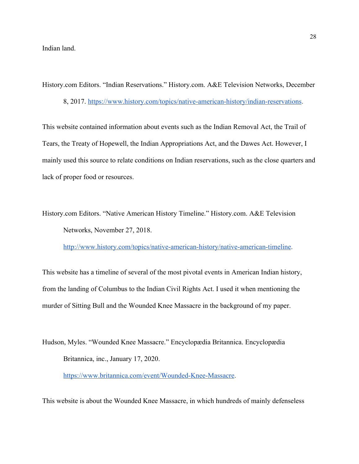Indian land.

History.com Editors. "Indian Reservations." History.com. A&E Television Networks, December

8, 2017. <https://www.history.com/topics/native-american-history/indian-reservations>.

This website contained information about events such as the Indian Removal Act, the Trail of Tears, the Treaty of Hopewell, the Indian Appropriations Act, and the Dawes Act. However, I mainly used this source to relate conditions on Indian reservations, such as the close quarters and lack of proper food or resources.

History.com Editors. "Native American History Timeline." History.com. A&E Television Networks, November 27, 2018.

<http://www.history.com/topics/native-american-history/native-american-timeline>.

This website has a timeline of several of the most pivotal events in American Indian history, from the landing of Columbus to the Indian Civil Rights Act. I used it when mentioning the murder of Sitting Bull and the Wounded Knee Massacre in the background of my paper.

Hudson, Myles. "Wounded Knee Massacre." Encyclopædia Britannica. Encyclopædia Britannica, inc., January 17, 2020.

[https://www.britannica.com/event/Wounded-Knee-Massacre.](https://www.britannica.com/event/Wounded-Knee-Massacre)

This website is about the Wounded Knee Massacre, in which hundreds of mainly defenseless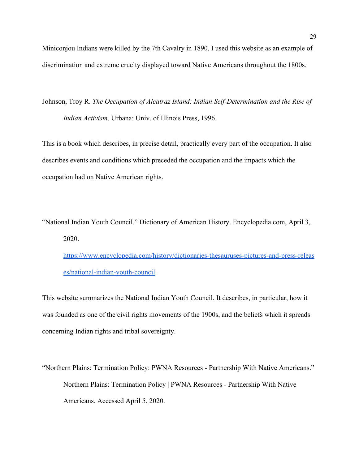Miniconjou Indians were killed by the 7th Cavalry in 1890. I used this website as an example of discrimination and extreme cruelty displayed toward Native Americans throughout the 1800s.

Johnson, Troy R. *The Occupation of Alcatraz Island: Indian Self-Determination and the Rise of Indian Activism*. Urbana: Univ. of Illinois Press, 1996.

This is a book which describes, in precise detail, practically every part of the occupation. It also describes events and conditions which preceded the occupation and the impacts which the occupation had on Native American rights.

"National Indian Youth Council." Dictionary of American History. Encyclopedia.com, April 3, 2020.

[https://www.encyclopedia.com/history/dictionaries-thesauruses-pictures-and-press-releas](https://www.encyclopedia.com/history/dictionaries-thesauruses-pictures-and-press-releases/national-indian-youth-council) [es/national-indian-youth-council.](https://www.encyclopedia.com/history/dictionaries-thesauruses-pictures-and-press-releases/national-indian-youth-council)

This website summarizes the National Indian Youth Council. It describes, in particular, how it was founded as one of the civil rights movements of the 1900s, and the beliefs which it spreads concerning Indian rights and tribal sovereignty.

"Northern Plains: Termination Policy: PWNA Resources - Partnership With Native Americans." Northern Plains: Termination Policy | PWNA Resources - Partnership With Native Americans. Accessed April 5, 2020.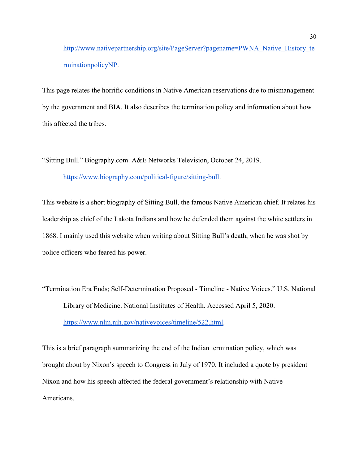[http://www.nativepartnership.org/site/PageServer?pagename=PWNA\\_Native\\_History\\_te](http://www.nativepartnership.org/site/PageServer?pagename=PWNA_Native_History_terminationpolicyNP) [rminationpolicyNP.](http://www.nativepartnership.org/site/PageServer?pagename=PWNA_Native_History_terminationpolicyNP)

This page relates the horrific conditions in Native American reservations due to mismanagement by the government and BIA. It also describes the termination policy and information about how this affected the tribes.

"Sitting Bull." Biography.com. A&E Networks Television, October 24, 2019.

[https://www.biography.com/political-figure/sitting-bull.](https://www.biography.com/political-figure/sitting-bull)

This website is a short biography of Sitting Bull, the famous Native American chief. It relates his leadership as chief of the Lakota Indians and how he defended them against the white settlers in 1868. I mainly used this website when writing about Sitting Bull's death, when he was shot by police officers who feared his power.

"Termination Era Ends; Self-Determination Proposed - Timeline - Native Voices." U.S. National Library of Medicine. National Institutes of Health. Accessed April 5, 2020. [https://www.nlm.nih.gov/nativevoices/timeline/522.html.](https://www.nlm.nih.gov/nativevoices/timeline/522.html)

This is a brief paragraph summarizing the end of the Indian termination policy, which was brought about by Nixon's speech to Congress in July of 1970. It included a quote by president Nixon and how his speech affected the federal government's relationship with Native Americans.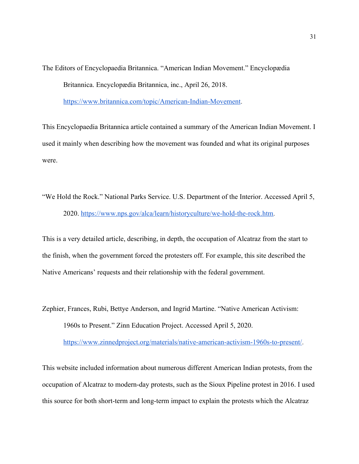The Editors of Encyclopaedia Britannica. "American Indian Movement." Encyclopædia Britannica. Encyclopædia Britannica, inc., April 26, 2018.

<https://www.britannica.com/topic/American-Indian-Movement>.

This Encyclopaedia Britannica article contained a summary of the American Indian Movement. I used it mainly when describing how the movement was founded and what its original purposes were.

"We Hold the Rock." National Parks Service. U.S. Department of the Interior. Accessed April 5, 2020. <https://www.nps.gov/alca/learn/historyculture/we-hold-the-rock.htm>.

This is a very detailed article, describing, in depth, the occupation of Alcatraz from the start to the finish, when the government forced the protesters off. For example, this site described the Native Americans' requests and their relationship with the federal government.

Zephier, Frances, Rubi, Bettye Anderson, and Ingrid Martine. "Native American Activism: 1960s to Present." Zinn Education Project. Accessed April 5, 2020.

<https://www.zinnedproject.org/materials/native-american-activism-1960s-to-present/>.

This website included information about numerous different American Indian protests, from the occupation of Alcatraz to modern-day protests, such as the Sioux Pipeline protest in 2016. I used this source for both short-term and long-term impact to explain the protests which the Alcatraz